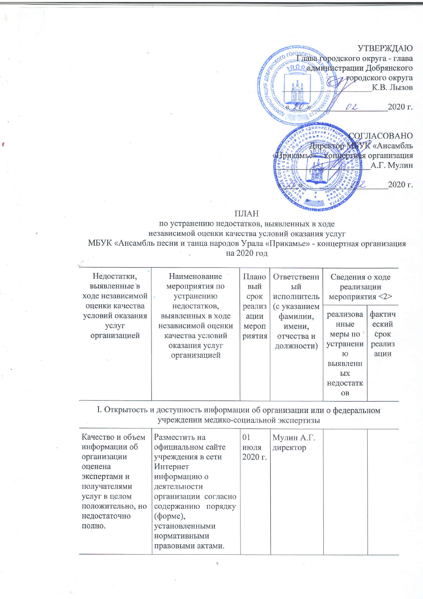## УТВЕРЖДАЮ

округа - глава одладминистрации Добрянского ALLIVA AOSPD. прородского округа К.В. Лызов 2020 г. 02

СОГЛАСОВАНО Директор NTVK «Ансамбль Трикамье» концертная организация А.Г. Мулин 2020 г.

## ПЛАН

по устранению недостатков, выявленных в ходе независимой оценки качества условий оказания услуг МБУК «Ансамбль песни и танца народов Урала «Прикамье» - концертная организация на 2020 год

| Недостатки,      | Наименование       | Плано  | Ответственн | Сведения о ходе |        |
|------------------|--------------------|--------|-------------|-----------------|--------|
| выявленные в     | мероприятия по     | вый    | ЫЙ          | реализации      |        |
| ходе независимой | устранению         | срок   | исполнитель | мероприятия <2> |        |
| оценки качества  | недостатков,       | реализ | с указанием |                 |        |
| условий оказания | выявленных в ходе  | ации   | фамилии,    | реализова       | фактич |
| услуг            | независимой оценки | мероп  | имени,      | нные            | еский  |
| организацией     | качества условий   | риткид | отчества и  | меры по         | срок   |
|                  | оказания услуг     |        | должности)  | устранени       | реализ |
|                  | организацией       |        |             | Ю               | ации   |
| 35               |                    |        |             | выявленн        |        |
|                  |                    |        |             | ЫX              |        |
|                  |                    |        |             | недостатк       |        |
|                  |                    |        |             | <b>OB</b>       |        |

I. Открытость и доступность информации об организации или о федеральном учреждении медико-социальной экспертизы

| Разместить на        | 01      |          |            |  |
|----------------------|---------|----------|------------|--|
| официальном сайте    | июля    | директор |            |  |
| учреждения в сети    | 2020 г. |          |            |  |
| Интернет             |         |          |            |  |
| информацию о         |         |          |            |  |
| деятельности         |         |          |            |  |
| организации согласно |         |          |            |  |
| содержанию порядку   |         |          |            |  |
| (форме),             |         |          |            |  |
| установленными       |         |          |            |  |
| нормативными         |         |          |            |  |
| правовыми актами.    |         |          |            |  |
|                      |         |          | Мулин А.Г. |  |